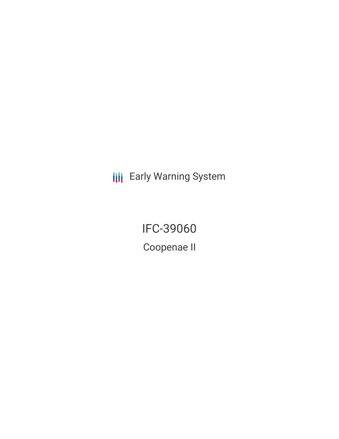**III** Early Warning System

IFC-39060 Coopenae II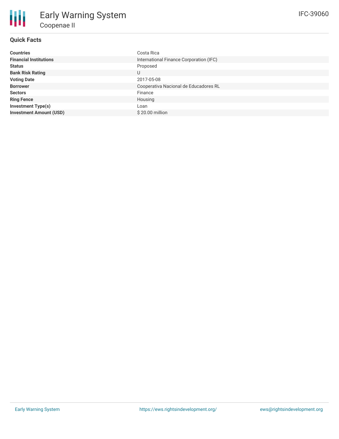## **Quick Facts**

| <b>Countries</b>               | Costa Rica                              |
|--------------------------------|-----------------------------------------|
| <b>Financial Institutions</b>  | International Finance Corporation (IFC) |
| <b>Status</b>                  | Proposed                                |
| <b>Bank Risk Rating</b>        | U                                       |
| <b>Voting Date</b>             | 2017-05-08                              |
| <b>Borrower</b>                | Cooperativa Nacional de Educadores RL   |
| <b>Sectors</b>                 | Finance                                 |
| <b>Ring Fence</b>              | Housing                                 |
| <b>Investment Type(s)</b>      | Loan                                    |
| <b>Investment Amount (USD)</b> | \$20.00 million                         |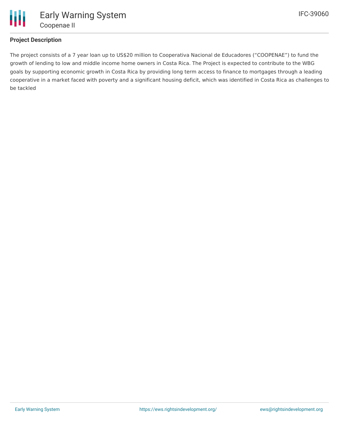

## **Project Description**

The project consists of a 7 year loan up to US\$20 million to Cooperativa Nacional de Educadores ("COOPENAE") to fund the growth of lending to low and middle income home owners in Costa Rica. The Project is expected to contribute to the WBG goals by supporting economic growth in Costa Rica by providing long term access to finance to mortgages through a leading cooperative in a market faced with poverty and a significant housing deficit, which was identified in Costa Rica as challenges to be tackled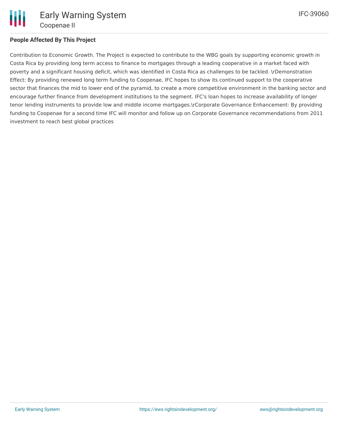

## **People Affected By This Project**

Contribution to Economic Growth. The Project is expected to contribute to the WBG goals by supporting economic growth in Costa Rica by providing long term access to finance to mortgages through a leading cooperative in a market faced with poverty and a significant housing deficit, which was identified in Costa Rica as challenges to be tackled. \rDemonstration Effect: By providing renewed long term funding to Coopenae, IFC hopes to show its continued support to the cooperative sector that finances the mid to lower end of the pyramid, to create a more competitive environment in the banking sector and encourage further finance from development institutions to the segment. IFC's loan hopes to increase availability of longer tenor lending instruments to provide low and middle income mortgages.\rCorporate Governance Enhancement: By providing funding to Coopenae for a second time IFC will monitor and follow up on Corporate Governance recommendations from 2011 investment to reach best global practices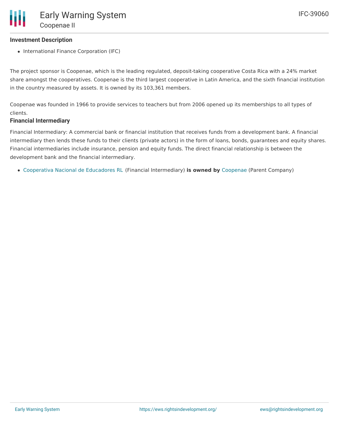## **Investment Description**

• International Finance Corporation (IFC)

The project sponsor is Coopenae, which is the leading regulated, deposit-taking cooperative Costa Rica with a 24% market share amongst the cooperatives. Coopenae is the third largest cooperative in Latin America, and the sixth financial institution in the country measured by assets. It is owned by its 103,361 members.

Coopenae was founded in 1966 to provide services to teachers but from 2006 opened up its memberships to all types of clients.

### **Financial Intermediary**

Financial Intermediary: A commercial bank or financial institution that receives funds from a development bank. A financial intermediary then lends these funds to their clients (private actors) in the form of loans, bonds, guarantees and equity shares. Financial intermediaries include insurance, pension and equity funds. The direct financial relationship is between the development bank and the financial intermediary.

[Cooperativa](file:///actor/3513/) Nacional de Educadores RL (Financial Intermediary) **is owned by** [Coopenae](file:///actor/3573/) (Parent Company)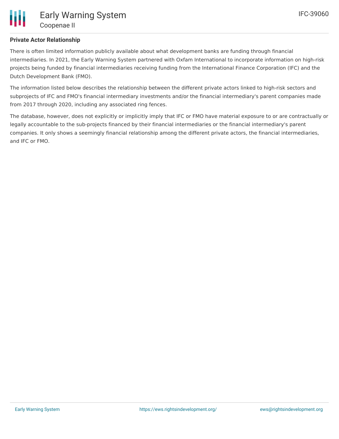## **Private Actor Relationship**

There is often limited information publicly available about what development banks are funding through financial intermediaries. In 2021, the Early Warning System partnered with Oxfam International to incorporate information on high-risk projects being funded by financial intermediaries receiving funding from the International Finance Corporation (IFC) and the Dutch Development Bank (FMO).

The information listed below describes the relationship between the different private actors linked to high-risk sectors and subprojects of IFC and FMO's financial intermediary investments and/or the financial intermediary's parent companies made from 2017 through 2020, including any associated ring fences.

The database, however, does not explicitly or implicitly imply that IFC or FMO have material exposure to or are contractually or legally accountable to the sub-projects financed by their financial intermediaries or the financial intermediary's parent companies. It only shows a seemingly financial relationship among the different private actors, the financial intermediaries, and IFC or FMO.